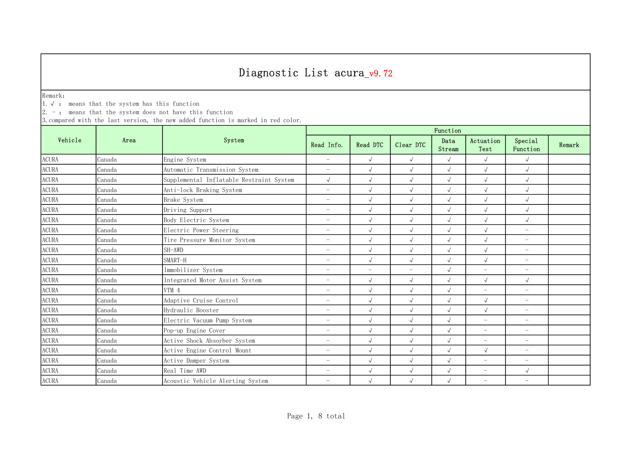Remark:

1.√ : means that the system has this function

 $2. -:$  means that the system does not have this function

|                        |        | System                                   | Function                 |                          |                          |                |                          |                          |        |  |
|------------------------|--------|------------------------------------------|--------------------------|--------------------------|--------------------------|----------------|--------------------------|--------------------------|--------|--|
| Vehicle                | Area   |                                          | Read Info.               | Read DTC                 | Clear DTC                | Data<br>Stream | Actuation<br>Test        | Special<br>Function      | Remark |  |
| <b>ACURA</b>           | Canada | Engine System                            | $\overline{\phantom{a}}$ | $\sqrt{ }$               | $\sqrt{ }$               | $\sqrt{ }$     | $\sqrt{ }$               | $\sqrt{2}$               |        |  |
| <b>ACURA</b>           | Canada | Automatic Transmission System            | $\overline{\phantom{0}}$ | $\sqrt{ }$               | $\sqrt{ }$               | $\sqrt{ }$     | $\sqrt{ }$               | $\sqrt{ }$               |        |  |
| <b>ACURA</b>           | Canada | Supplemental Inflatable Restraint System | $\sqrt{ }$               | $\sqrt{2}$               | $\sqrt{ }$               | $\sqrt{ }$     | $\sqrt{ }$               | $\sqrt{ }$               |        |  |
| <b>ACURA</b>           | Canada | Anti-lock Braking System                 | $\overline{\phantom{m}}$ | $\sqrt{ }$               | $\sqrt{ }$               | $\sqrt{ }$     | $\sqrt{ }$               | $\sqrt{ }$               |        |  |
| $\operatorname{ACURA}$ | Canada | Brake System                             | $\overline{\phantom{m}}$ | $\sqrt{ }$               | $\sqrt{ }$               | $\sqrt{2}$     | $\sqrt{ }$               | $\sqrt{2}$               |        |  |
| <b>ACURA</b>           | Canada | Driving Support                          | $\overline{\phantom{0}}$ | $\sqrt{ }$               | $\sqrt{ }$               | $\sqrt{2}$     | $\sqrt{ }$               | $\sqrt{2}$               |        |  |
| $\operatorname{ACURA}$ | Canada | Body Electric System                     | $\overline{\phantom{0}}$ | $\sqrt{2}$               | $\sqrt{ }$               | $\sqrt{ }$     | $\sqrt{ }$               | $\sqrt{}$                |        |  |
| <b>ACURA</b>           | Canada | Electric Power Steering                  | $\overline{\phantom{0}}$ | $\sqrt{ }$               | $\sqrt{ }$               | $\sqrt{ }$     | $\sqrt{ }$               | $\overline{\phantom{0}}$ |        |  |
| <b>ACURA</b>           | Canada | Tire Pressure Monitor System             | $\overline{\phantom{0}}$ | $\sqrt{2}$               | $\sqrt{ }$               | $\sqrt{ }$     | $\sqrt{}$                | $\overline{a}$           |        |  |
| <b>ACURA</b>           | Canada | SH-AWD                                   | $\overline{\phantom{0}}$ | $\sqrt{ }$               | $\sqrt{ }$               | $\sqrt{2}$     | $\sqrt{}$                | $\overline{\phantom{0}}$ |        |  |
| <b>ACURA</b>           | Canada | SMART-H                                  | $\overline{\phantom{0}}$ | $\sqrt{ }$               | $\sqrt{ }$               | $\sqrt{ }$     | $\sqrt{ }$               | $\overline{\phantom{0}}$ |        |  |
| <b>ACURA</b>           | Canada | Immobilizer System                       | $\overline{\phantom{0}}$ | $\overline{\phantom{0}}$ | $\overline{\phantom{m}}$ | $\sqrt{ }$     | $\overline{\phantom{a}}$ | $\overline{\phantom{0}}$ |        |  |
| <b>ACURA</b>           | Canada | Integrated Motor Assist System           | $\overline{\phantom{0}}$ | $\sqrt{ }$               | $\sqrt{ }$               | $\sqrt{ }$     | $\sqrt{ }$               | $\sqrt{ }$               |        |  |
| <b>ACURA</b>           | Canada | VTM 4                                    | $\overline{\phantom{m}}$ | $\sqrt{2}$               | $\sqrt{ }$               | $\sqrt{ }$     | $\overline{\phantom{m}}$ | $\overline{\phantom{0}}$ |        |  |
| <b>ACURA</b>           | Canada | Adaptive Cruise Control                  | $\overline{\phantom{0}}$ | $\sqrt{2}$               | $\sqrt{ }$               | $\sqrt{ }$     | $\sqrt{ }$               | $\overline{\phantom{0}}$ |        |  |
| <b>ACURA</b>           | Canada | Hydraulic Booster                        | $\overline{\phantom{0}}$ | $\sqrt{2}$               | $\sqrt{ }$               | $\sqrt{2}$     | $\sqrt{ }$               | $\overline{\phantom{0}}$ |        |  |
| <b>ACURA</b>           | Canada | Electric Vacuum Pump System              | $\overline{\phantom{0}}$ | $\sqrt{ }$               | $\sqrt{ }$               | $\sqrt{ }$     | $\overline{\phantom{m}}$ | $\overline{\phantom{0}}$ |        |  |
| $\operatorname{ACURA}$ | Canada | Pop-up Engine Cover                      | $\overline{\phantom{0}}$ | $\sqrt{2}$               | $\sqrt{ }$               | $\sqrt{ }$     | $\overline{\phantom{0}}$ | $\overline{\phantom{0}}$ |        |  |
| <b>ACURA</b>           | Canada | Active Shock Absorber System             | $\overline{\phantom{0}}$ | $\sqrt{ }$               | $\sqrt{ }$               | $\sqrt{ }$     | $\overline{\phantom{0}}$ | $\overline{\phantom{0}}$ |        |  |
| <b>ACURA</b>           | Canada | Active Engine Control Mount              | $\overline{\phantom{0}}$ | $\sqrt{2}$               | $\sqrt{ }$               | $\sqrt{ }$     | $\sqrt{ }$               | $\overline{\phantom{0}}$ |        |  |
| <b>ACURA</b>           | Canada | Active Damper System                     | $\overline{\phantom{0}}$ | $\sqrt{ }$               | $\sqrt{ }$               | $\sqrt{ }$     | $\equiv$                 | $\overline{\phantom{0}}$ |        |  |
| <b>ACURA</b>           | Canada | Real Time AWD                            | $\overline{\phantom{0}}$ | $\sqrt{ }$               | $\sqrt{ }$               | $\sqrt{ }$     | $\overline{\phantom{m}}$ | $\sqrt{ }$               |        |  |
| <b>ACURA</b>           | Canada | Acoustic Vehicle Alerting System         | $\overline{\phantom{0}}$ | $\sqrt{ }$               | $\sqrt{}$                | $\sqrt{ }$     | $\overline{\phantom{0}}$ | $\overline{\phantom{0}}$ |        |  |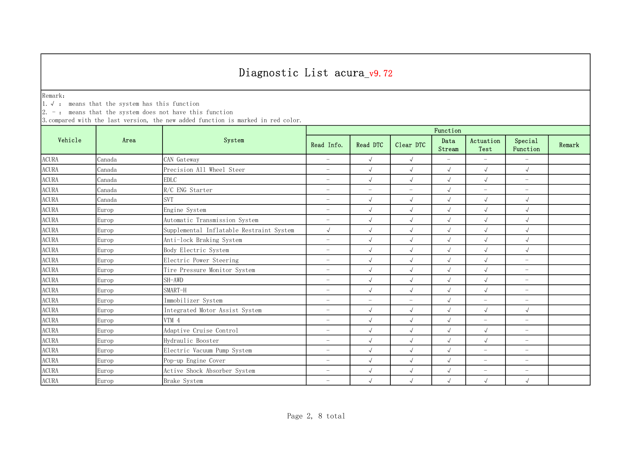Remark:

1.√ : means that the system has this function

 $2. -:$  means that the system does not have this function

|                        |        | System                                   | Function                 |                          |                          |                |                          |                          |        |  |
|------------------------|--------|------------------------------------------|--------------------------|--------------------------|--------------------------|----------------|--------------------------|--------------------------|--------|--|
| Vehicle                | Area   |                                          | Read Info.               | Read DTC                 | Clear DTC                | Data<br>Stream | Actuation<br>Test        | Special<br>Function      | Remark |  |
| <b>ACURA</b>           | Canada | CAN Gateway                              | $\overline{\phantom{m}}$ | $\sqrt{ }$               | $\sqrt{ }$               | $-$            | $\equiv$                 | $\equiv$                 |        |  |
| <b>ACURA</b>           | Canada | Precision All Wheel Steer                | $\overline{\phantom{m}}$ | $\sqrt{ }$               | $\sqrt{ }$               | $\sqrt{ }$     | $\sqrt{ }$               | $\sqrt{ }$               |        |  |
| <b>ACURA</b>           | Canada | <b>EDLC</b>                              | $\overline{\phantom{0}}$ | $\sqrt{2}$               | $\sqrt{ }$               | $\sqrt{ }$     | $\sqrt{ }$               | $\overline{\phantom{0}}$ |        |  |
| ACURA                  | Canada | R/C ENG Starter                          | $\overline{\phantom{m}}$ | $\overline{\phantom{0}}$ | $\overline{\phantom{m}}$ | $\sqrt{2}$     | $\overline{\phantom{m}}$ | $\overline{\phantom{0}}$ |        |  |
| $\operatorname{ACURA}$ | Canada | <b>SVT</b>                               | $\overline{\phantom{m}}$ | $\sqrt{ }$               | $\sqrt{ }$               | $\sqrt{ }$     | $\sqrt{ }$               | $\sqrt{2}$               |        |  |
| <b>ACURA</b>           | Europ  | Engine System                            | $\overline{\phantom{0}}$ | $\sqrt{ }$               | $\sqrt{ }$               | $\sqrt{ }$     | $\sqrt{ }$               | $\sqrt{ }$               |        |  |
| <b>ACURA</b>           | Europ  | Automatic Transmission System            | $\overline{\phantom{0}}$ | $\sqrt{ }$               | $\sqrt{ }$               | $\sqrt{ }$     | $\sqrt{ }$               | $\sqrt{ }$               |        |  |
| <b>ACURA</b>           | Europ  | Supplemental Inflatable Restraint System | $\sqrt{ }$               | $\sqrt{ }$               | $\sqrt{ }$               | $\sqrt{ }$     | $\sqrt{}$                | $\sqrt{2}$               |        |  |
| <b>ACURA</b>           | Europ  | Anti-lock Braking System                 | $\overline{\phantom{0}}$ | $\sqrt{2}$               | $\sqrt{ }$               | $\sqrt{ }$     | $\sqrt{}$                | $\sqrt{ }$               |        |  |
| <b>ACURA</b>           | Europ  | Body Electric System                     | $\overline{\phantom{0}}$ | $\sqrt{ }$               | $\sqrt{ }$               | $\sqrt{ }$     | $\sqrt{ }$               | $\sqrt{ }$               |        |  |
| <b>ACURA</b>           | Europ  | Electric Power Steering                  | $\overline{\phantom{0}}$ | $\sqrt{ }$               | $\sqrt{ }$               | $\sqrt{ }$     | $\sqrt{ }$               | $\overline{\phantom{0}}$ |        |  |
| <b>ACURA</b>           | Europ  | Tire Pressure Monitor System             | $\overline{\phantom{m}}$ | $\sqrt{ }$               | $\sqrt{ }$               | $\sqrt{ }$     | $\sqrt{ }$               | $\overline{\phantom{0}}$ |        |  |
| <b>ACURA</b>           | Europ  | SH-AWD                                   | $\overline{\phantom{m}}$ | $\sqrt{ }$               | $\sqrt{ }$               | $\sqrt{ }$     | $\sqrt{ }$               | $\overline{\phantom{0}}$ |        |  |
| <b>ACURA</b>           | Europ  | SMART-H                                  | $\overline{\phantom{0}}$ | $\sqrt{2}$               | $\sqrt{ }$               | $\sqrt{ }$     | $\sqrt{ }$               | $\overline{\phantom{0}}$ |        |  |
| $\operatorname{ACURA}$ | Europ  | Immobilizer System                       | $\overline{\phantom{m}}$ | $-$                      | $\overline{\phantom{m}}$ | $\sqrt{2}$     | $\overline{\phantom{m}}$ | $\overline{\phantom{0}}$ |        |  |
| <b>ACURA</b>           | Europ  | Integrated Motor Assist System           | $\overline{\phantom{m}}$ | $\sqrt{ }$               | $\sqrt{ }$               | $\sqrt{2}$     | $\sqrt{ }$               | $\sqrt{2}$               |        |  |
| <b>ACURA</b>           | Europ  | VTM 4                                    | $\overline{\phantom{0}}$ | $\sqrt{ }$               | $\sqrt{ }$               | $\sqrt{ }$     | $\overline{\phantom{m}}$ | $\overline{\phantom{0}}$ |        |  |
| <b>ACURA</b>           | Europ  | Adaptive Cruise Control                  | $\overline{\phantom{0}}$ | $\sqrt{ }$               | $\sqrt{ }$               | $\sqrt{ }$     | $\sqrt{ }$               | $\overline{\phantom{0}}$ |        |  |
| <b>ACURA</b>           | Europ  | Hydraulic Booster                        | $\overline{\phantom{0}}$ | $\sqrt{ }$               | $\sqrt{ }$               | $\sqrt{ }$     | $\sqrt{ }$               | $\overline{\phantom{0}}$ |        |  |
| <b>ACURA</b>           | Europ  | Electric Vacuum Pump System              | $\overline{\phantom{0}}$ | $\sqrt{2}$               | $\sqrt{ }$               | $\sqrt{ }$     | $\equiv$                 | $\overline{\phantom{0}}$ |        |  |
| <b>ACURA</b>           | Europ  | Pop-up Engine Cover                      | $\overline{\phantom{0}}$ | $\sqrt{ }$               | $\sqrt{ }$               | $\sqrt{ }$     | $\overline{\phantom{m}}$ | $\overline{\phantom{0}}$ |        |  |
| <b>ACURA</b>           | Europ  | Active Shock Absorber System             | $\overline{\phantom{m}}$ | $\sqrt{ }$               | $\sqrt{ }$               | $\sqrt{ }$     | $\overline{\phantom{0}}$ | $\qquad \qquad -$        |        |  |
| <b>ACURA</b>           | Europ  | Brake System                             | $\overline{\phantom{0}}$ | $\sqrt{ }$               | $\sqrt{ }$               | $\sqrt{ }$     | $\sqrt{ }$               | $\sqrt{2}$               |        |  |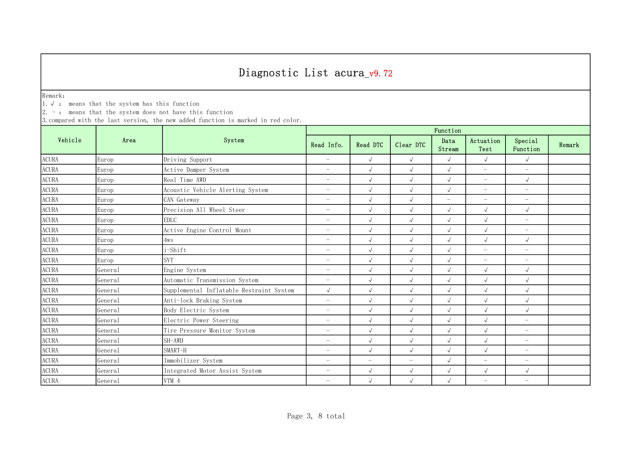Remark:

1.√ : means that the system has this function

 $2. -:$  means that the system does not have this function

|              |         | System                                   | Function                 |                          |                          |                          |                          |                          |        |  |
|--------------|---------|------------------------------------------|--------------------------|--------------------------|--------------------------|--------------------------|--------------------------|--------------------------|--------|--|
| Vehicle      | Area    |                                          | Read Info.               | Read DTC                 | Clear DTC                | Data<br>Stream           | Actuation<br>Test        | Special<br>Function      | Remark |  |
| <b>ACURA</b> | Europ   | Driving Support                          | $\overline{\phantom{0}}$ | $\sqrt{ }$               | $\sqrt{ }$               | $\sqrt{ }$               | $\sqrt{ }$               | $\sqrt{2}$               |        |  |
| <b>ACURA</b> | Europ   | Active Damper System                     | $\overline{\phantom{0}}$ | $\sqrt{ }$               | $\sqrt{ }$               | $\sqrt{ }$               | $\overline{\phantom{m}}$ | $\overline{\phantom{0}}$ |        |  |
| <b>ACURA</b> | Europ   | Real Time AWD                            | $\overline{\phantom{0}}$ | $\sqrt{ }$               | $\sqrt{ }$               | $\sqrt{ }$               | $\overline{\phantom{a}}$ | $\sqrt{ }$               |        |  |
| <b>ACURA</b> | Europ   | Acoustic Vehicle Alerting System         | $\overline{\phantom{0}}$ | $\sqrt{ }$               | $\sqrt{ }$               | $\sqrt{ }$               | $\overline{\phantom{a}}$ | $\overline{\phantom{m}}$ |        |  |
| <b>ACURA</b> | Europ   | CAN Gateway                              | $\overline{\phantom{0}}$ | $\sqrt{ }$               | $\sqrt{ }$               | $\overline{\phantom{a}}$ | $\overline{\phantom{a}}$ | $\overline{\phantom{m}}$ |        |  |
| <b>ACURA</b> | Europ   | Precision All Wheel Steer                | $\overline{\phantom{0}}$ | $\sqrt{ }$               | $\sqrt{ }$               | $\sqrt{ }$               | $\sqrt{ }$               | $\sqrt{ }$               |        |  |
| <b>ACURA</b> | Europ   | <b>EDLC</b>                              | $\overline{\phantom{0}}$ | $\sqrt{ }$               | $\sqrt{ }$               | $\sqrt{ }$               | $\sqrt{ }$               | $\overline{\phantom{0}}$ |        |  |
| <b>ACURA</b> | Europ   | Active Engine Control Mount              | $\overline{\phantom{0}}$ | $\sqrt{ }$               | $\sqrt{}$                | $\sqrt{ }$               | $\sqrt{}$                | $\overline{a}$           |        |  |
| <b>ACURA</b> | Europ   | 4ws                                      | $\overline{\phantom{0}}$ | $\sqrt{2}$               | $\sqrt{}$                | $\sqrt{ }$               | $\sqrt{ }$               | $\sqrt{ }$               |        |  |
| <b>ACURA</b> | Europ   | i-Shift                                  | $\overline{\phantom{0}}$ | $\sqrt{ }$               | $\sqrt{}$                | $\sqrt{ }$               | $\overline{\phantom{m}}$ | $\overline{\phantom{0}}$ |        |  |
| <b>ACURA</b> | Europ   | <b>SVT</b>                               | $-$                      | $\sqrt{ }$               | $\sqrt{ }$               | $\sqrt{ }$               | $\overline{\phantom{m}}$ | $\overline{\phantom{0}}$ |        |  |
| <b>ACURA</b> | General | Engine System                            | $\overline{\phantom{0}}$ | $\sqrt{ }$               | $\sqrt{ }$               | $\sqrt{ }$               | $\sqrt{ }$               | $\sqrt{ }$               |        |  |
| <b>ACURA</b> | General | Automatic Transmission System            | $\overline{\phantom{a}}$ | $\sqrt{ }$               | $\sqrt{ }$               | $\sqrt{ }$               | $\sqrt{ }$               | $\sqrt{ }$               |        |  |
| <b>ACURA</b> | General | Supplemental Inflatable Restraint System | $\sqrt{2}$               | $\sqrt{ }$               | $\sqrt{ }$               | $\sqrt{ }$               | $\sqrt{ }$               | $\sqrt{2}$               |        |  |
| <b>ACURA</b> | General | Anti-lock Braking System                 | $-$                      | $\sqrt{ }$               | $\sqrt{ }$               | $\sqrt{ }$               | $\sqrt{ }$               | $\sqrt{2}$               |        |  |
| <b>ACURA</b> | General | Body Electric System                     | $\overline{\phantom{m}}$ | $\sqrt{ }$               | $\sqrt{ }$               | $\sqrt{ }$               | $\sqrt{ }$               | $\sqrt{2}$               |        |  |
| <b>ACURA</b> | General | Electric Power Steering                  | $\overline{\phantom{m}}$ | $\sqrt{ }$               | $\sqrt{ }$               | $\sqrt{ }$               | $\sqrt{ }$               | $-$                      |        |  |
| <b>ACURA</b> | General | Tire Pressure Monitor System             | $\overline{\phantom{0}}$ | $\sqrt{ }$               | $\sqrt{ }$               | $\sqrt{ }$               | $\sqrt{ }$               | $\overline{\phantom{0}}$ |        |  |
| <b>ACURA</b> | General | SH-AWD                                   | $\overline{\phantom{0}}$ | $\sqrt{ }$               | $\sqrt{}$                | $\sqrt{ }$               | $\sqrt{ }$               | $\overline{\phantom{0}}$ |        |  |
| <b>ACURA</b> | General | SMART-H                                  | $\overline{\phantom{0}}$ | $\sqrt{ }$               | $\sqrt{ }$               | $\sqrt{ }$               | $\sqrt{ }$               | $-$                      |        |  |
| <b>ACURA</b> | General | Immobilizer System                       | $\overline{\phantom{0}}$ | $\overline{\phantom{m}}$ | $\overline{\phantom{0}}$ | $\sqrt{ }$               | $\overline{\phantom{0}}$ | $\overline{\phantom{0}}$ |        |  |
| <b>ACURA</b> | General | Integrated Motor Assist System           | $-$                      | $\sqrt{ }$               | $\sqrt{ }$               | $\sqrt{ }$               | $\sqrt{ }$               | $\sqrt{2}$               |        |  |
| <b>ACURA</b> | General | VTM 4                                    | $\overline{\phantom{0}}$ | $\sqrt{ }$               | $\sqrt{ }$               | $\sqrt{ }$               | $\overline{\phantom{m}}$ | $\overline{\phantom{0}}$ |        |  |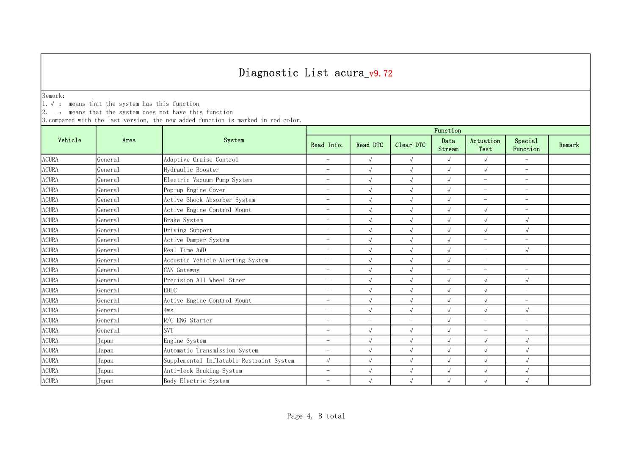Remark:

1.√ : means that the system has this function

 $2. -:$  means that the system does not have this function

|              |         | System                                   | Function                 |                          |                          |                          |                          |                          |        |  |
|--------------|---------|------------------------------------------|--------------------------|--------------------------|--------------------------|--------------------------|--------------------------|--------------------------|--------|--|
| Vehicle      | Area    |                                          | Read Info.               | Read DTC                 | Clear DTC                | Data<br>Stream           | Actuation<br>Test        | Special<br>Function      | Remark |  |
| <b>ACURA</b> | General | Adaptive Cruise Control                  | $\overline{\phantom{m}}$ | $\sqrt{ }$               | $\sqrt{ }$               | $\sqrt{ }$               | $\sqrt{ }$               | $\overline{\phantom{a}}$ |        |  |
| <b>ACURA</b> | General | Hydraulic Booster                        | $\overline{\phantom{0}}$ | $\sqrt{ }$               | $\sqrt{ }$               | $\sqrt{ }$               | $\sqrt{ }$               | $\overline{\phantom{0}}$ |        |  |
| <b>ACURA</b> | General | Electric Vacuum Pump System              | $\overline{\phantom{0}}$ | $\sqrt{ }$               | $\sqrt{ }$               | $\sqrt{ }$               | $\overline{\phantom{a}}$ | $\overline{\phantom{0}}$ |        |  |
| <b>ACURA</b> | General | Pop-up Engine Cover                      | $\overline{\phantom{0}}$ | $\sqrt{ }$               | $\sqrt{ }$               | $\sqrt{ }$               | $\overline{\phantom{m}}$ | $\overline{\phantom{0}}$ |        |  |
| <b>ACURA</b> | General | Active Shock Absorber System             | $\overline{\phantom{m}}$ | $\sqrt{ }$               | $\checkmark$             | $\sqrt{ }$               | $\overline{\phantom{m}}$ | $\overline{\phantom{m}}$ |        |  |
| <b>ACURA</b> | General | Active Engine Control Mount              | $\overline{\phantom{m}}$ | $\sqrt{ }$               | $\sqrt{ }$               | $\sqrt{ }$               | $\sqrt{ }$               | $\overline{\phantom{m}}$ |        |  |
| <b>ACURA</b> | General | Brake System                             | $\overline{\phantom{0}}$ | $\sqrt{ }$               | $\sqrt{ }$               | $\sqrt{ }$               | $\sqrt{ }$               | $\sqrt{2}$               |        |  |
| <b>ACURA</b> | General | Driving Support                          | $\overline{\phantom{0}}$ | $\sqrt{ }$               | $\sqrt{ }$               | $\sqrt{ }$               | $\sqrt{ }$               | $\sqrt{2}$               |        |  |
| <b>ACURA</b> | General | Active Damper System                     | $\overline{\phantom{0}}$ | $\sqrt{ }$               | $\sqrt{ }$               | $\sqrt{ }$               | $\overline{\phantom{m}}$ | $\overline{\phantom{0}}$ |        |  |
| <b>ACURA</b> | General | Real Time AWD                            | $\overline{\phantom{0}}$ | $\sqrt{ }$               | $\sqrt{}$                | $\sqrt{ }$               | $\overline{\phantom{a}}$ | $\sqrt{2}$               |        |  |
| <b>ACURA</b> | General | Acoustic Vehicle Alerting System         | $\overline{\phantom{0}}$ | $\sqrt{ }$               | $\sqrt{ }$               | $\sqrt{ }$               | $\equiv$                 | $\overline{\phantom{0}}$ |        |  |
| <b>ACURA</b> | General | CAN Gateway                              | $\overline{\phantom{0}}$ | $\sqrt{ }$               | $\sqrt{ }$               | $\overline{\phantom{a}}$ | $\overline{\phantom{a}}$ | $\overline{\phantom{0}}$ |        |  |
| <b>ACURA</b> | General | Precision All Wheel Steer                | $\overline{\phantom{m}}$ | $\sqrt{ }$               | $\sqrt{ }$               | $\sqrt{ }$               | $\sqrt{ }$               | $\sqrt{ }$               |        |  |
| <b>ACURA</b> | General | <b>EDLC</b>                              | $\overline{\phantom{0}}$ | $\sqrt{ }$               | $\sqrt{ }$               | $\sqrt{ }$               | $\sqrt{ }$               | $\overline{\phantom{0}}$ |        |  |
| <b>ACURA</b> | General | Active Engine Control Mount              | $\overline{\phantom{m}}$ | $\sqrt{ }$               | $\sqrt{ }$               | $\sqrt{ }$               | $\sqrt{ }$               | $\overline{\phantom{m}}$ |        |  |
| <b>ACURA</b> | General | 4ws                                      | $\overline{\phantom{0}}$ | $\sqrt{ }$               | $\sqrt{ }$               | $\sqrt{ }$               | $\sqrt{ }$               | $\sqrt{2}$               |        |  |
| <b>ACURA</b> | General | R/C ENG Starter                          | $\overline{\phantom{m}}$ | $\overline{\phantom{0}}$ | $\overline{\phantom{0}}$ | $\sqrt{ }$               | $\overline{\phantom{a}}$ | $\overline{a}$           |        |  |
| <b>ACURA</b> | General | <b>SVT</b>                               | $\overline{\phantom{0}}$ | $\sqrt{ }$               | $\sqrt{ }$               | $\sqrt{ }$               | $\overline{\phantom{m}}$ | $\overline{\phantom{0}}$ |        |  |
| <b>ACURA</b> | Japan   | Engine System                            | $\overline{\phantom{0}}$ | $\sqrt{ }$               | $\sqrt{ }$               | $\sqrt{ }$               | $\sqrt{ }$               | $\sqrt{2}$               |        |  |
| <b>ACURA</b> | Japan   | Automatic Transmission System            | $\overline{\phantom{0}}$ | $\sqrt{2}$               | $\sqrt{ }$               | $\sqrt{ }$               | $\sqrt{ }$               | $\sqrt{2}$               |        |  |
| <b>ACURA</b> | Japan   | Supplemental Inflatable Restraint System | $\sqrt{2}$               | $\sqrt{ }$               | $\sqrt{\phantom{a}}$     | $\sqrt{ }$               | $\sqrt{ }$               | $\sqrt{ }$               |        |  |
| <b>ACURA</b> | Japan   | Anti-lock Braking System                 | $\overline{\phantom{m}}$ | $\sqrt{ }$               | $\sqrt{ }$               | $\sqrt{ }$               | $\sqrt{ }$               | $\sqrt{2}$               |        |  |
| <b>ACURA</b> | Japan   | Body Electric System                     | $\overline{\phantom{0}}$ | $\sqrt{ }$               | $\sqrt{ }$               | $\sqrt{ }$               | $\sqrt{ }$               | $\sqrt{ }$               |        |  |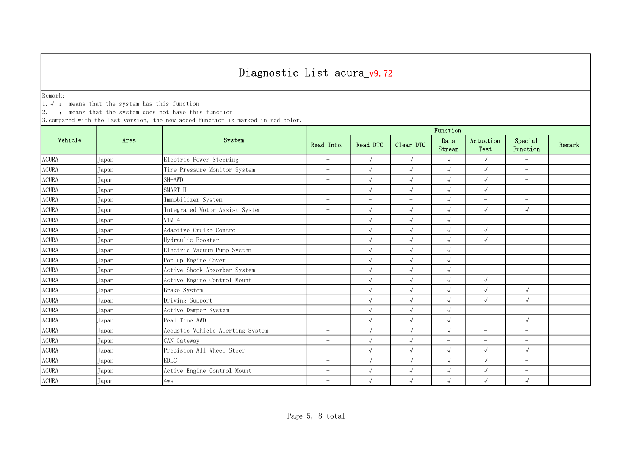Remark:

1.√ : means that the system has this function

 $2. -:$  means that the system does not have this function

|                        |       | System                           | Function                 |                          |                          |                |                          |                          |        |  |
|------------------------|-------|----------------------------------|--------------------------|--------------------------|--------------------------|----------------|--------------------------|--------------------------|--------|--|
| Vehicle                | Area  |                                  | Read Info.               | Read DTC                 | Clear DTC                | Data<br>Stream | Actuation<br>Test        | Special<br>Function      | Remark |  |
| <b>ACURA</b>           | Japan | Electric Power Steering          | $\overline{\phantom{m}}$ | $\sqrt{ }$               | $\sqrt{ }$               | $\sqrt{ }$     | $\sqrt{ }$               | $\equiv$                 |        |  |
| <b>ACURA</b>           | Japan | Tire Pressure Monitor System     | $\overline{\phantom{a}}$ | $\sqrt{2}$               | $\sqrt{ }$               | $\sqrt{2}$     | $\sqrt{2}$               | $\equiv$                 |        |  |
| $\operatorname{ACURA}$ | Japan | SH-AWD                           | $\overline{\phantom{m}}$ | $\sqrt{2}$               | $\sqrt{ }$               | $\sqrt{2}$     | $\sqrt{2}$               | $-$                      |        |  |
| <b>ACURA</b>           | Japan | SMART-H                          | $\overline{\phantom{0}}$ | $\sqrt{2}$               | $\sqrt{ }$               | $\sqrt{2}$     | $\sqrt{ }$               | $\overline{\phantom{m}}$ |        |  |
| <b>ACURA</b>           | Japan | Immobilizer System               | $\overline{\phantom{m}}$ | $\overline{\phantom{m}}$ | $\overline{\phantom{m}}$ | $\sqrt{ }$     | $\overline{\phantom{m}}$ | $\overline{\phantom{m}}$ |        |  |
| <b>ACURA</b>           | Japan | Integrated Motor Assist System   | $\overline{\phantom{0}}$ | $\sqrt{ }$               | $\sqrt{ }$               | $\sqrt{ }$     | $\sqrt{ }$               | $\sqrt{ }$               |        |  |
| <b>ACURA</b>           | Japan | VTM 4                            | $\overline{\phantom{0}}$ | $\sqrt{2}$               | $\sqrt{ }$               | $\sqrt{2}$     | $\overline{\phantom{m}}$ | $\overline{\phantom{m}}$ |        |  |
| <b>ACURA</b>           | Japan | Adaptive Cruise Control          | $\overline{\phantom{0}}$ | $\sqrt{2}$               | $\sqrt{ }$               | $\sqrt{ }$     | $\sqrt{2}$               | $\overline{\phantom{m}}$ |        |  |
| <b>ACURA</b>           | Japan | Hydraulic Booster                | $\overline{\phantom{0}}$ | $\sqrt{2}$               | $\sqrt{ }$               | $\sqrt{2}$     | $\sqrt{ }$               | $\overline{\phantom{m}}$ |        |  |
| <b>ACURA</b>           | Japan | Electric Vacuum Pump System      | $\overline{\phantom{0}}$ | $\sqrt{2}$               | $\sqrt{ }$               | $\sqrt{2}$     | $\equiv$                 | $\overline{\phantom{m}}$ |        |  |
| <b>ACURA</b>           | Japan | Pop-up Engine Cover              | $\overline{\phantom{0}}$ | $\sqrt{ }$               | $\sqrt{ }$               | $\sqrt{ }$     | $-$                      | $\overline{\phantom{0}}$ |        |  |
| <b>ACURA</b>           | Japan | Active Shock Absorber System     | $\overline{\phantom{0}}$ | $\sqrt{2}$               | $\sqrt{ }$               | $\sqrt{2}$     | $-$                      | $\overline{\phantom{0}}$ |        |  |
| $\operatorname{ACURA}$ | Japan | Active Engine Control Mount      | $\overline{\phantom{m}}$ | $\sqrt{2}$               | $\sqrt{ }$               | $\sqrt{2}$     | $\sqrt{ }$               | $-$                      |        |  |
| <b>ACURA</b>           | Japan | Brake System                     | $\overline{\phantom{m}}$ | $\sqrt{2}$               | $\sqrt{ }$               | $\sqrt{2}$     | $\sqrt{2}$               | $\sqrt{ }$               |        |  |
| $\operatorname{ACURA}$ | Japan | Driving Support                  | $\overline{\phantom{0}}$ | $\sqrt{2}$               | $\sqrt{ }$               | $\sqrt{2}$     | $\sqrt{ }$               | $\sqrt{ }$               |        |  |
| ACURA                  | Japan | Active Damper System             | $\overline{\phantom{m}}$ | $\sqrt{2}$               | $\sqrt{ }$               | $\sqrt{2}$     | $-$                      | $\overline{\phantom{m}}$ |        |  |
| <b>ACURA</b>           | Japan | Real Time AWD                    | $\overline{\phantom{0}}$ | $\sqrt{2}$               | $\sqrt{ }$               | $\sqrt{ }$     | $\overline{\phantom{0}}$ | $\sqrt{ }$               |        |  |
| $\operatorname{ACURA}$ | Japan | Acoustic Vehicle Alerting System | $\overline{\phantom{0}}$ | $\sqrt{ }$               | $\sqrt{ }$               | $\sqrt{}$      | $\overline{\phantom{0}}$ | $\overline{\phantom{m}}$ |        |  |
| <b>ACURA</b>           | Japan | CAN Gateway                      | $\overline{\phantom{0}}$ | $\sqrt{2}$               | $\sqrt{ }$               | $\overline{a}$ | $\overline{\phantom{0}}$ | $\overline{\phantom{m}}$ |        |  |
| <b>ACURA</b>           | Japan | Precision All Wheel Steer        | $\overline{\phantom{0}}$ | $\sqrt{ }$               | $\sqrt{ }$               | $\sqrt{2}$     | $\sqrt{2}$               | $\sqrt{ }$               |        |  |
| <b>ACURA</b>           | Japan | <b>EDLC</b>                      | $\overline{\phantom{0}}$ | $\sqrt{2}$               | $\sqrt{ }$               | $\sqrt{2}$     | $\sqrt{ }$               | $-$                      |        |  |
| <b>ACURA</b>           | Japan | Active Engine Control Mount      | $\overline{\phantom{0}}$ | $\sqrt{ }$               | $\sqrt{ }$               | $\sqrt{ }$     | $\sqrt{ }$               | $\overline{\phantom{m}}$ |        |  |
| <b>ACURA</b>           | Japan | 4ws                              | $\overline{\phantom{0}}$ | $\sqrt{ }$               | $\sqrt{ }$               | $\sqrt{ }$     | $\sqrt{ }$               | $\sqrt{ }$               |        |  |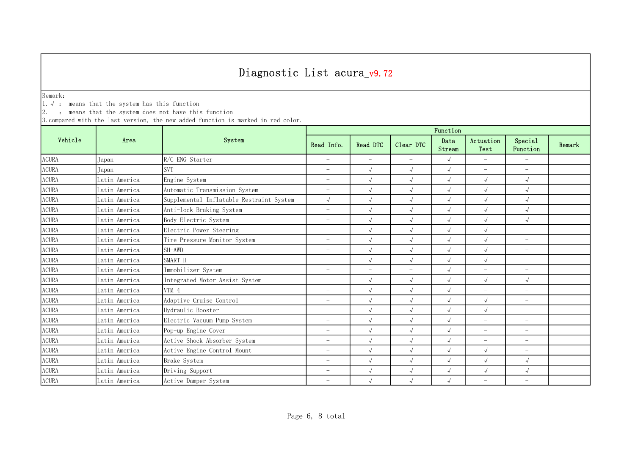Remark:

1.√ : means that the system has this function

 $2. -:$  means that the system does not have this function

|                        |               | System                                   | Function                 |                          |                          |                |                          |                          |        |  |
|------------------------|---------------|------------------------------------------|--------------------------|--------------------------|--------------------------|----------------|--------------------------|--------------------------|--------|--|
| Vehicle                | Area          |                                          | Read Info.               | Read DTC                 | Clear DTC                | Data<br>Stream | Actuation<br>Test        | Special<br>Function      | Remark |  |
| <b>ACURA</b>           | Japan         | R/C ENG Starter                          | $\overline{\phantom{0}}$ | $\equiv$                 | $\equiv$                 | $\sqrt{ }$     | $\equiv$                 | $\equiv$                 |        |  |
| <b>ACURA</b>           | Japan         | <b>SVT</b>                               | $\overline{\phantom{0}}$ | $\sqrt{2}$               | $\sqrt{ }$               | $\sqrt{2}$     | $\overline{\phantom{a}}$ | $\overline{\phantom{m}}$ |        |  |
| <b>ACURA</b>           | Latin America | Engine System                            | $\overline{\phantom{m}}$ | $\sqrt{2}$               | $\sqrt{ }$               | $\sqrt{2}$     | $\sqrt{2}$               | $\sqrt{ }$               |        |  |
| <b>ACURA</b>           | Latin America | Automatic Transmission System            | $\overline{\phantom{0}}$ | $\sqrt{2}$               | $\sqrt{ }$               | $\sqrt{2}$     | $\sqrt{ }$               | $\sqrt{ }$               |        |  |
| $\operatorname{ACURA}$ | Latin America | Supplemental Inflatable Restraint System | $\sqrt{ }$               | $\sqrt{2}$               | $\sqrt{ }$               | $\sqrt{2}$     | $\sqrt{ }$               | $\sqrt{ }$               |        |  |
| <b>ACURA</b>           | Latin America | Anti-lock Braking System                 | $\overline{\phantom{0}}$ | $\sqrt{2}$               | $\sqrt{ }$               | $\sqrt{ }$     | $\sqrt{ }$               | $\sqrt{ }$               |        |  |
| $\operatorname{ACURA}$ | Latin America | Body Electric System                     | $\overline{\phantom{0}}$ | $\sqrt{ }$               | $\sqrt{ }$               | $\sqrt{ }$     | $\sqrt{2}$               | $\sqrt{ }$               |        |  |
| <b>ACURA</b>           | Latin America | Electric Power Steering                  | $\overline{\phantom{0}}$ | $\sqrt{2}$               | $\sqrt{ }$               | $\sqrt{ }$     | $\sqrt{ }$               | $\overline{\phantom{m}}$ |        |  |
| <b>ACURA</b>           | Latin America | Tire Pressure Monitor System             | $\overline{\phantom{0}}$ | $\sqrt{ }$               | $\sqrt{ }$               | $\sqrt{ }$     | $\sqrt{ }$               | $\overline{\phantom{m}}$ |        |  |
| <b>ACURA</b>           | Latin America | SH-AWD                                   | $\overline{\phantom{0}}$ | $\sqrt{2}$               | $\sqrt{ }$               | $\sqrt{2}$     | $\sqrt{ }$               | $\overline{\phantom{m}}$ |        |  |
| <b>ACURA</b>           | Latin America | SMART-H                                  | $\overline{\phantom{0}}$ | $\sqrt{2}$               | $\sqrt{ }$               | $\sqrt{2}$     | $\sqrt{2}$               | $\overline{\phantom{m}}$ |        |  |
| <b>ACURA</b>           | Latin America | Immobilizer System                       | $\overline{\phantom{0}}$ | $\overline{\phantom{a}}$ | $\overline{\phantom{a}}$ | $\sqrt{2}$     | $\equiv$                 | $\overline{\phantom{m}}$ |        |  |
| <b>ACURA</b>           | Latin America | Integrated Motor Assist System           | $\overline{\phantom{m}}$ | $\sqrt{2}$               | $\sqrt{ }$               | $\sqrt{ }$     | $\sqrt{ }$               | $\sqrt{ }$               |        |  |
| <b>ACURA</b>           | Latin America | VTM 4                                    | $\overline{\phantom{0}}$ | $\sqrt{2}$               | $\sqrt{ }$               | $\sqrt{2}$     | $-$                      | $\overline{\phantom{0}}$ |        |  |
| <b>ACURA</b>           | Latin America | Adaptive Cruise Control                  | $\overline{\phantom{m}}$ | $\sqrt{2}$               | $\sqrt{ }$               | $\sqrt{ }$     | $\sqrt{2}$               | $-$                      |        |  |
| <b>ACURA</b>           | Latin America | Hydraulic Booster                        | $\overline{\phantom{m}}$ | $\sqrt{2}$               | $\sqrt{ }$               | $\sqrt{ }$     | $\sqrt{2}$               | $\overline{\phantom{m}}$ |        |  |
| <b>ACURA</b>           | Latin America | Electric Vacuum Pump System              | $\overline{\phantom{0}}$ | $\sqrt{2}$               | $\sqrt{ }$               | $\sqrt{ }$     | $\overline{\phantom{m}}$ | $\overline{\phantom{m}}$ |        |  |
| $\operatorname{ACURA}$ | Latin America | Pop-up Engine Cover                      | $\overline{\phantom{0}}$ | $\sqrt{2}$               | $\sqrt{ }$               | $\sqrt{ }$     | $\overline{\phantom{0}}$ | $\overline{\phantom{m}}$ |        |  |
| <b>ACURA</b>           | Latin America | Active Shock Absorber System             | $\overline{\phantom{0}}$ | $\sqrt{2}$               | $\sqrt{ }$               | $\sqrt{ }$     | $\overline{\phantom{0}}$ | $\overline{\phantom{0}}$ |        |  |
| <b>ACURA</b>           | Latin America | Active Engine Control Mount              | $\overline{\phantom{0}}$ | $\sqrt{2}$               | $\sqrt{ }$               | $\sqrt{2}$     | $\sqrt{2}$               | $\overline{\phantom{m}}$ |        |  |
| <b>ACURA</b>           | Latin America | Brake System                             | $\overline{\phantom{m}}$ | $\sqrt{2}$               | $\sqrt{ }$               | $\sqrt{ }$     | $\sqrt{ }$               | $\sqrt{ }$               |        |  |
| <b>ACURA</b>           | Latin America | Driving Support                          | $\overline{\phantom{0}}$ | $\sqrt{ }$               | $\sqrt{ }$               | $\sqrt{2}$     | $\sqrt{ }$               | $\sqrt{ }$               |        |  |
| <b>ACURA</b>           | Latin America | Active Damper System                     | $\overline{\phantom{0}}$ | $\sqrt{ }$               | $\sqrt{ }$               | $\sqrt{ }$     | $\overline{\phantom{0}}$ | $\overline{\phantom{m}}$ |        |  |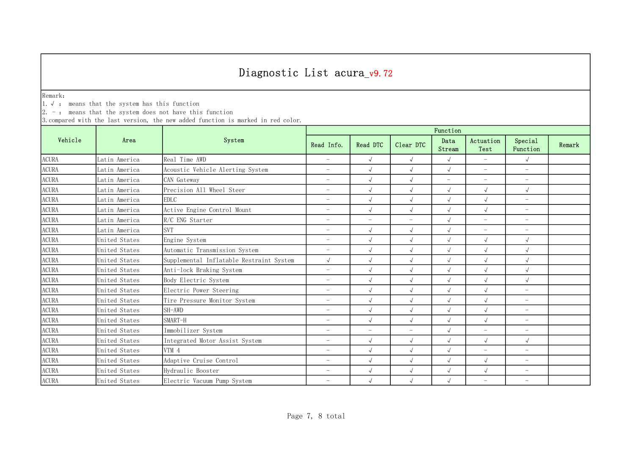Remark:

1.√ : means that the system has this function

 $2. -:$  means that the system does not have this function

|                        |               | System                                   | Function                 |                          |                          |                          |                          |                          |        |  |
|------------------------|---------------|------------------------------------------|--------------------------|--------------------------|--------------------------|--------------------------|--------------------------|--------------------------|--------|--|
| Vehicle                | Area          |                                          | Read Info.               | Read DTC                 | Clear DTC                | Data<br>Stream           | Actuation<br>Test        | Special<br>Function      | Remark |  |
| <b>ACURA</b>           | Latin America | Real Time AWD                            | $\overline{\phantom{m}}$ | $\sqrt{ }$               | $\sqrt{ }$               | $\sqrt{ }$               | $\overline{\phantom{a}}$ | $\sqrt{ }$               |        |  |
| <b>ACURA</b>           | Latin America | Acoustic Vehicle Alerting System         | $\overline{\phantom{m}}$ | $\sqrt{2}$               | $\sqrt{ }$               | $\sqrt{2}$               | $\overline{\phantom{m}}$ | $\overline{\phantom{m}}$ |        |  |
| <b>ACURA</b>           | Latin America | CAN Gateway                              | $\overline{\phantom{m}}$ | $\sqrt{ }$               | $\sqrt{ }$               | $\overline{\phantom{m}}$ | $\overline{\phantom{a}}$ | $-$                      |        |  |
| ACURA                  | Latin America | Precision All Wheel Steer                | $\overline{\phantom{0}}$ | $\sqrt{2}$               | $\sqrt{ }$               | $\sqrt{ }$               | $\sqrt{2}$               | $\sqrt{ }$               |        |  |
| $\operatorname{ACURA}$ | Latin America | <b>EDLC</b>                              | $\overline{\phantom{0}}$ | $\sqrt{ }$               | $\sqrt{ }$               | $\sqrt{2}$               | $\sqrt{ }$               | $\overline{\phantom{m}}$ |        |  |
| <b>ACURA</b>           | Latin America | Active Engine Control Mount              | $\overline{\phantom{0}}$ | $\sqrt{2}$               | $\sqrt{ }$               | $\sqrt{2}$               | $\sqrt{ }$               | $\qquad \qquad -$        |        |  |
| $\operatorname{ACURA}$ | Latin America | R/C ENG Starter                          | $\overline{\phantom{0}}$ | $\overline{\phantom{0}}$ | $\overline{\phantom{0}}$ | $\sqrt{2}$               | $\overline{\phantom{0}}$ | $\overline{\phantom{m}}$ |        |  |
| <b>ACURA</b>           | Latin America | <b>SVT</b>                               | $\overline{\phantom{0}}$ | $\sqrt{2}$               | $\sqrt{ }$               | $\sqrt{ }$               | $\overline{\phantom{0}}$ | $\overline{\phantom{m}}$ |        |  |
| $\operatorname{ACURA}$ | United States | Engine System                            | $\overline{\phantom{0}}$ | $\sqrt{2}$               | $\sqrt{ }$               | $\sqrt{2}$               | $\sqrt{2}$               | $\sqrt{ }$               |        |  |
| <b>ACURA</b>           | United States | Automatic Transmission System            | $\overline{\phantom{0}}$ | $\sqrt{2}$               | $\sqrt{ }$               | $\sqrt{ }$               | $\sqrt{ }$               | $\sqrt{ }$               |        |  |
| <b>ACURA</b>           | United States | Supplemental Inflatable Restraint System | $\sqrt{ }$               | $\sqrt{2}$               | $\sqrt{ }$               | $\sqrt{2}$               | $\sqrt{ }$               | $\sqrt{ }$               |        |  |
| <b>ACURA</b>           | United States | Anti-lock Braking System                 | $\overline{\phantom{m}}$ | $\sqrt{ }$               | $\sqrt{ }$               | $\sqrt{ }$               | $\sqrt{2}$               | $\sqrt{ }$               |        |  |
| <b>ACURA</b>           | United States | Body Electric System                     | $\overline{\phantom{m}}$ | $\sqrt{2}$               | $\sqrt{ }$               | $\sqrt{2}$               | $\sqrt{2}$               | $\sqrt{ }$               |        |  |
| <b>ACURA</b>           | United States | Electric Power Steering                  | $\overline{\phantom{m}}$ | $\sqrt{2}$               | $\sqrt{ }$               | $\sqrt{ }$               | $\sqrt{2}$               | $-$                      |        |  |
| $\operatorname{ACURA}$ | United States | Tire Pressure Monitor System             | $\overline{\phantom{0}}$ | $\sqrt{2}$               | $\sqrt{ }$               | $\sqrt{ }$               | $\sqrt{2}$               | $\overline{\phantom{m}}$ |        |  |
| <b>ACURA</b>           | United States | SH-AWD                                   | $\overline{\phantom{m}}$ | $\sqrt{2}$               | $\sqrt{ }$               | $\sqrt{2}$               | $\sqrt{2}$               | $\overline{\phantom{m}}$ |        |  |
| <b>ACURA</b>           | United States | SMART-H                                  | $\overline{\phantom{m}}$ | $\sqrt{2}$               | $\sqrt{ }$               | $\sqrt{ }$               | $\sqrt{ }$               | $\overline{\phantom{m}}$ |        |  |
| <b>ACURA</b>           | United States | Immobilizer System                       | $\overline{\phantom{0}}$ | $\overline{\phantom{0}}$ | $\overline{\phantom{a}}$ | $\sqrt{ }$               | $\overline{a}$           | $\overline{\phantom{m}}$ |        |  |
| <b>ACURA</b>           | United States | Integrated Motor Assist System           | $\overline{\phantom{0}}$ | $\sqrt{2}$               | $\sqrt{ }$               | $\sqrt{2}$               | $\sqrt{ }$               | $\sqrt{ }$               |        |  |
| <b>ACURA</b>           | United States | VTM 4                                    | $\overline{\phantom{m}}$ | $\sqrt{2}$               | $\sqrt{ }$               | $\sqrt{2}$               | $\equiv$                 | $\overline{\phantom{m}}$ |        |  |
| <b>ACURA</b>           | United States | Adaptive Cruise Control                  | $\overline{\phantom{0}}$ | $\sqrt{2}$               | $\sqrt{ }$               | $\sqrt{2}$               | $\sqrt{2}$               | $\overline{\phantom{m}}$ |        |  |
| <b>ACURA</b>           | United States | Hydraulic Booster                        | $\overline{\phantom{0}}$ | $\sqrt{ }$               | $\sqrt{ }$               | $\sqrt{ }$               | $\sqrt{ }$               | $\overline{\phantom{0}}$ |        |  |
| <b>ACURA</b>           | United States | Electric Vacuum Pump System              | $\overline{\phantom{m}}$ | $\sqrt{ }$               | $\sqrt{ }$               | $\sqrt{ }$               | $\overline{\phantom{0}}$ | $\overline{\phantom{m}}$ |        |  |